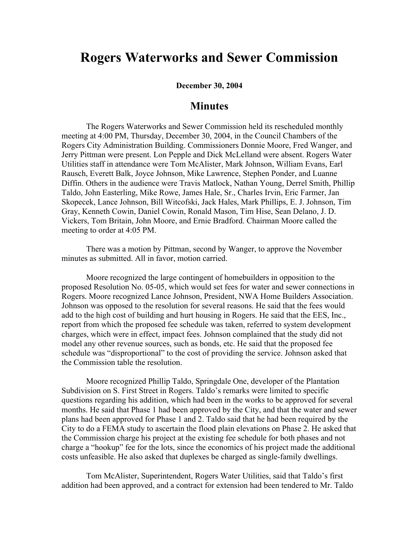## **Rogers Waterworks and Sewer Commission**

**December 30, 2004**

## **Minutes**

The Rogers Waterworks and Sewer Commission held its rescheduled monthly meeting at 4:00 PM, Thursday, December 30, 2004, in the Council Chambers of the Rogers City Administration Building. Commissioners Donnie Moore, Fred Wanger, and Jerry Pittman were present. Lon Pepple and Dick McLelland were absent. Rogers Water Utilities staff in attendance were Tom McAlister, Mark Johnson, William Evans, Earl Rausch, Everett Balk, Joyce Johnson, Mike Lawrence, Stephen Ponder, and Luanne Diffin. Others in the audience were Travis Matlock, Nathan Young, Derrel Smith, Phillip Taldo, John Easterling, Mike Rowe, James Hale, Sr., Charles Irvin, Eric Farmer, Jan Skopecek, Lance Johnson, Bill Witcofski, Jack Hales, Mark Phillips, E. J. Johnson, Tim Gray, Kenneth Cowin, Daniel Cowin, Ronald Mason, Tim Hise, Sean Delano, J. D. Vickers, Tom Britain, John Moore, and Ernie Bradford. Chairman Moore called the meeting to order at 4:05 PM.

There was a motion by Pittman, second by Wanger, to approve the November minutes as submitted. All in favor, motion carried.

Moore recognized the large contingent of homebuilders in opposition to the proposed Resolution No. 05-05, which would set fees for water and sewer connections in Rogers. Moore recognized Lance Johnson, President, NWA Home Builders Association. Johnson was opposed to the resolution for several reasons. He said that the fees would add to the high cost of building and hurt housing in Rogers. He said that the EES, Inc., report from which the proposed fee schedule was taken, referred to system development charges, which were in effect, impact fees. Johnson complained that the study did not model any other revenue sources, such as bonds, etc. He said that the proposed fee schedule was "disproportional" to the cost of providing the service. Johnson asked that the Commission table the resolution.

Moore recognized Phillip Taldo, Springdale One, developer of the Plantation Subdivision on S. First Street in Rogers. Taldo's remarks were limited to specific questions regarding his addition, which had been in the works to be approved for several months. He said that Phase 1 had been approved by the City, and that the water and sewer plans had been approved for Phase 1 and 2. Taldo said that he had been required by the City to do a FEMA study to ascertain the flood plain elevations on Phase 2. He asked that the Commission charge his project at the existing fee schedule for both phases and not charge a "hookup" fee for the lots, since the economics of his project made the additional costs unfeasible. He also asked that duplexes be charged as single-family dwellings.

Tom McAlister, Superintendent, Rogers Water Utilities, said that Taldo's first addition had been approved, and a contract for extension had been tendered to Mr. Taldo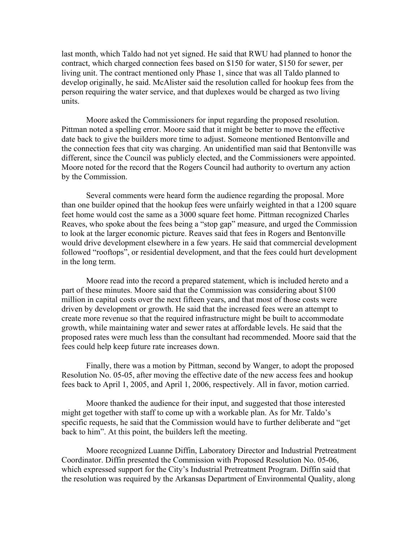last month, which Taldo had not yet signed. He said that RWU had planned to honor the contract, which charged connection fees based on \$150 for water, \$150 for sewer, per living unit. The contract mentioned only Phase 1, since that was all Taldo planned to develop originally, he said. McAlister said the resolution called for hookup fees from the person requiring the water service, and that duplexes would be charged as two living units.

Moore asked the Commissioners for input regarding the proposed resolution. Pittman noted a spelling error. Moore said that it might be better to move the effective date back to give the builders more time to adjust. Someone mentioned Bentonville and the connection fees that city was charging. An unidentified man said that Bentonville was different, since the Council was publicly elected, and the Commissioners were appointed. Moore noted for the record that the Rogers Council had authority to overturn any action by the Commission.

Several comments were heard form the audience regarding the proposal. More than one builder opined that the hookup fees were unfairly weighted in that a 1200 square feet home would cost the same as a 3000 square feet home. Pittman recognized Charles Reaves, who spoke about the fees being a "stop gap" measure, and urged the Commission to look at the larger economic picture. Reaves said that fees in Rogers and Bentonville would drive development elsewhere in a few years. He said that commercial development followed "rooftops", or residential development, and that the fees could hurt development in the long term.

Moore read into the record a prepared statement, which is included hereto and a part of these minutes. Moore said that the Commission was considering about \$100 million in capital costs over the next fifteen years, and that most of those costs were driven by development or growth. He said that the increased fees were an attempt to create more revenue so that the required infrastructure might be built to accommodate growth, while maintaining water and sewer rates at affordable levels. He said that the proposed rates were much less than the consultant had recommended. Moore said that the fees could help keep future rate increases down.

Finally, there was a motion by Pittman, second by Wanger, to adopt the proposed Resolution No. 05-05, after moving the effective date of the new access fees and hookup fees back to April 1, 2005, and April 1, 2006, respectively. All in favor, motion carried.

Moore thanked the audience for their input, and suggested that those interested might get together with staff to come up with a workable plan. As for Mr. Taldo's specific requests, he said that the Commission would have to further deliberate and "get back to him". At this point, the builders left the meeting.

Moore recognized Luanne Diffin, Laboratory Director and Industrial Pretreatment Coordinator. Diffin presented the Commission with Proposed Resolution No. 05-06, which expressed support for the City's Industrial Pretreatment Program. Diffin said that the resolution was required by the Arkansas Department of Environmental Quality, along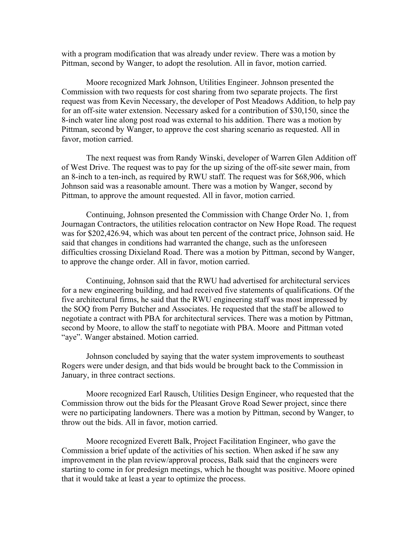with a program modification that was already under review. There was a motion by Pittman, second by Wanger, to adopt the resolution. All in favor, motion carried.

Moore recognized Mark Johnson, Utilities Engineer. Johnson presented the Commission with two requests for cost sharing from two separate projects. The first request was from Kevin Necessary, the developer of Post Meadows Addition, to help pay for an off-site water extension. Necessary asked for a contribution of \$30,150, since the 8-inch water line along post road was external to his addition. There was a motion by Pittman, second by Wanger, to approve the cost sharing scenario as requested. All in favor, motion carried.

The next request was from Randy Winski, developer of Warren Glen Addition off of West Drive. The request was to pay for the up sizing of the off-site sewer main, from an 8-inch to a ten-inch, as required by RWU staff. The request was for \$68,906, which Johnson said was a reasonable amount. There was a motion by Wanger, second by Pittman, to approve the amount requested. All in favor, motion carried.

Continuing, Johnson presented the Commission with Change Order No. 1, from Journagan Contractors, the utilities relocation contractor on New Hope Road. The request was for \$202,426.94, which was about ten percent of the contract price, Johnson said. He said that changes in conditions had warranted the change, such as the unforeseen difficulties crossing Dixieland Road. There was a motion by Pittman, second by Wanger, to approve the change order. All in favor, motion carried.

Continuing, Johnson said that the RWU had advertised for architectural services for a new engineering building, and had received five statements of qualifications. Of the five architectural firms, he said that the RWU engineering staff was most impressed by the SOQ from Perry Butcher and Associates. He requested that the staff be allowed to negotiate a contract with PBA for architectural services. There was a motion by Pittman, second by Moore, to allow the staff to negotiate with PBA. Moore and Pittman voted "aye". Wanger abstained. Motion carried.

Johnson concluded by saying that the water system improvements to southeast Rogers were under design, and that bids would be brought back to the Commission in January, in three contract sections.

Moore recognized Earl Rausch, Utilities Design Engineer, who requested that the Commission throw out the bids for the Pleasant Grove Road Sewer project, since there were no participating landowners. There was a motion by Pittman, second by Wanger, to throw out the bids. All in favor, motion carried.

Moore recognized Everett Balk, Project Facilitation Engineer, who gave the Commission a brief update of the activities of his section. When asked if he saw any improvement in the plan review/approval process, Balk said that the engineers were starting to come in for predesign meetings, which he thought was positive. Moore opined that it would take at least a year to optimize the process.